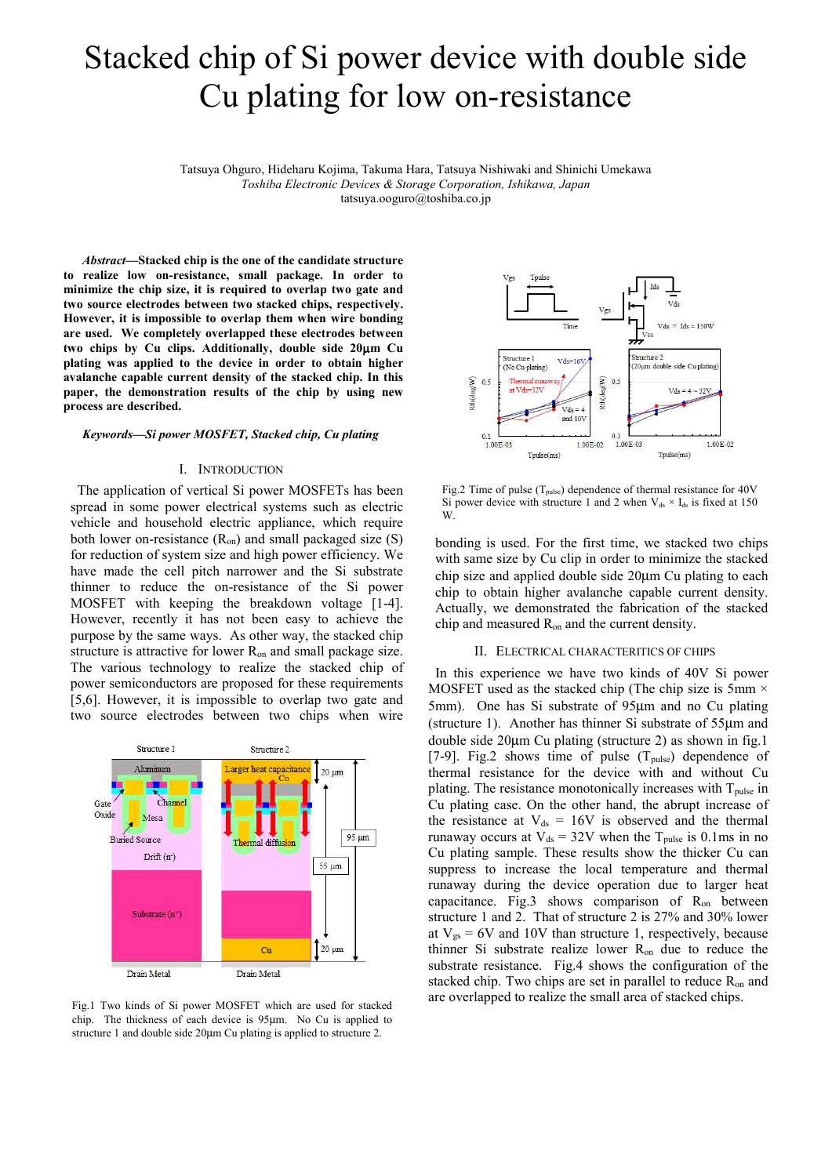# Stacked chip of Si power device with double side Cu plating for low on-resistance

Tatsuya Ohguro, Hideharu Kojima, Takuma Hara, Tatsuya Nishiwaki and Shinichi Umekawa *Toshiba Electronic Devices & Storage Corporation, Ishikawa, Japan* tatsuya.ooguro@toshiba.co.jp

*Abstract***—Stacked chip is the one of the candidate structure to realize low on-resistance, small package. In order to minimize the chip size, it is required to overlap two gate and two source electrodes between two stacked chips, respectively. However, it is impossible to overlap them when wire bonding are used. We completely overlapped these electrodes between two chips by Cu clips. Additionally, double side 20**µ**m Cu plating was applied to the device in order to obtain higher avalanche capable current density of the stacked chip. In this paper, the demonstration results of the chip by using new process are described.** 

# *Keywords—Si power MOSFET, Stacked chip, Cu plating*

# I. INTRODUCTION

The application of vertical Si power MOSFETs has been spread in some power electrical systems such as electric vehicle and household electric appliance, which require both lower on-resistance  $(R_{on})$  and small packaged size  $(S)$ for reduction of system size and high power efficiency. We have made the cell pitch narrower and the Si substrate thinner to reduce the on-resistance of the Si power MOSFET with keeping the breakdown voltage [1-4]. However, recently it has not been easy to achieve the purpose by the same ways. As other way, the stacked chip structure is attractive for lower Ron and small package size. The various technology to realize the stacked chip of power semiconductors are proposed for these requirements [5,6]. However, it is impossible to overlap two gate and two source electrodes between two chips when wire



chip. The thickness of each device is 95µm. No Cu is applied to structure 1 and double side 20µm Cu plating is applied to structure 2.



Fig.2 Time of pulse  $(T_{pulse})$  dependence of thermal resistance for 40V Si power device with structure 1 and 2 when  $V_{ds} \times I_{ds}$  is fixed at 150 W.

bonding is used. For the first time, we stacked two chips with same size by Cu clip in order to minimize the stacked chip size and applied double side 20µm Cu plating to each chip to obtain higher avalanche capable current density. Actually, we demonstrated the fabrication of the stacked chip and measured Ron and the current density.

#### II. ELECTRICAL CHARACTERITICS OF CHIPS

In this experience we have two kinds of 40V Si power MOSFET used as the stacked chip (The chip size is 5mm  $\times$ 5mm). One has Si substrate of 95µm and no Cu plating (structure 1). Another has thinner Si substrate of 55µm and double side 20µm Cu plating (structure 2) as shown in fig.1 [7-9]. Fig.2 shows time of pulse  $(T_{pulse})$  dependence of thermal resistance for the device with and without Cu plating. The resistance monotonically increases with T<sub>pulse</sub> in Cu plating case. On the other hand, the abrupt increase of the resistance at  $V_{ds} = 16V$  is observed and the thermal runaway occurs at  $V_{ds} = 32V$  when the T<sub>pulse</sub> is 0.1ms in no Cu plating sample. These results show the thicker Cu can suppress to increase the local temperature and thermal runaway during the device operation due to larger heat capacitance. Fig.3 shows comparison of  $R_{on}$  between structure 1 and 2. That of structure 2 is 27% and 30% lower at  $V_{gs} = 6V$  and 10V than structure 1, respectively, because thinner Si substrate realize lower Ron due to reduce the substrate resistance. Fig.4 shows the configuration of the stacked chip. Two chips are set in parallel to reduce R<sub>on</sub> and are overlapped to realize the small area of stacked chips. Fig.1 Two kinds of Si power MOSFET which are used for stacked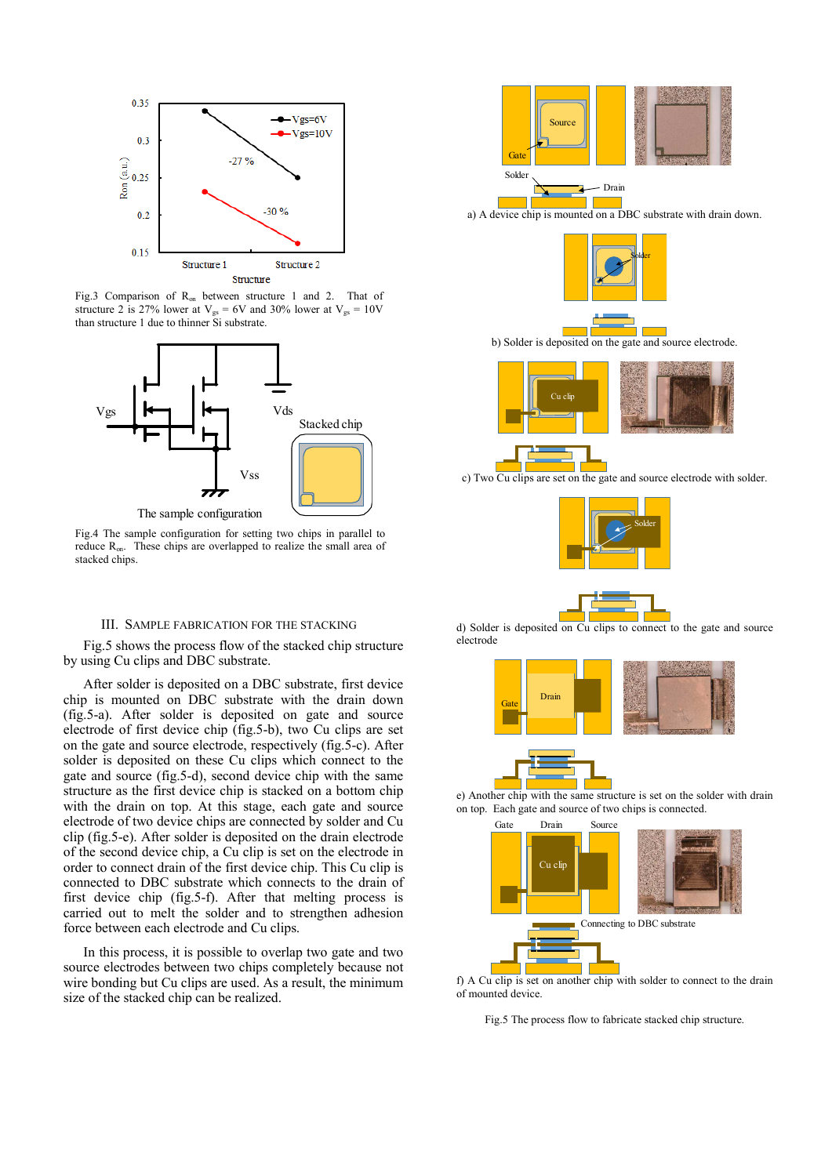

Fig.3 Comparison of R<sub>on</sub> between structure 1 and 2. That of structure 2 is 27% lower at  $V_{gs} = 6V$  and 30% lower at  $V_{gs} = 10V$ than structure 1 due to thinner Si substrate.



Fig.4 The sample configuration for setting two chips in parallel to reduce Ron. These chips are overlapped to realize the small area of stacked chips.

### III. SAMPLE FABRICATION FOR THE STACKING

Fig.5 shows the process flow of the stacked chip structure by using Cu clips and DBC substrate.

After solder is deposited on a DBC substrate, first device chip is mounted on DBC substrate with the drain down (fig.5-a). After solder is deposited on gate and source electrode of first device chip (fig.5-b), two Cu clips are set on the gate and source electrode, respectively (fig.5-c). After solder is deposited on these Cu clips which connect to the gate and source (fig.5-d), second device chip with the same structure as the first device chip is stacked on a bottom chip with the drain on top. At this stage, each gate and source electrode of two device chips are connected by solder and Cu clip (fig.5-e). After solder is deposited on the drain electrode of the second device chip, a Cu clip is set on the electrode in order to connect drain of the first device chip. This Cu clip is connected to DBC substrate which connects to the drain of first device chip (fig.5-f). After that melting process is carried out to melt the solder and to strengthen adhesion force between each electrode and Cu clips.

In this process, it is possible to overlap two gate and two source electrodes between two chips completely because not wire bonding but Cu clips are used. As a result, the minimum size of the stacked chip can be realized.



a) A device chip is mounted on a DBC substrate with drain down.



b) Solder is deposited on the gate and source electrode.



c) Two Cu clips are set on the gate and source electrode with solder.



d) Solder is deposited on Cu clips to connect to the gate and source electrode





e) Another chip with the same structure is set on the solder with drain on top. Each gate and source of two chips is connected.



f) A Cu clip is set on another chip with solder to connect to the drain of mounted device.

Fig.5 The process flow to fabricate stacked chip structure.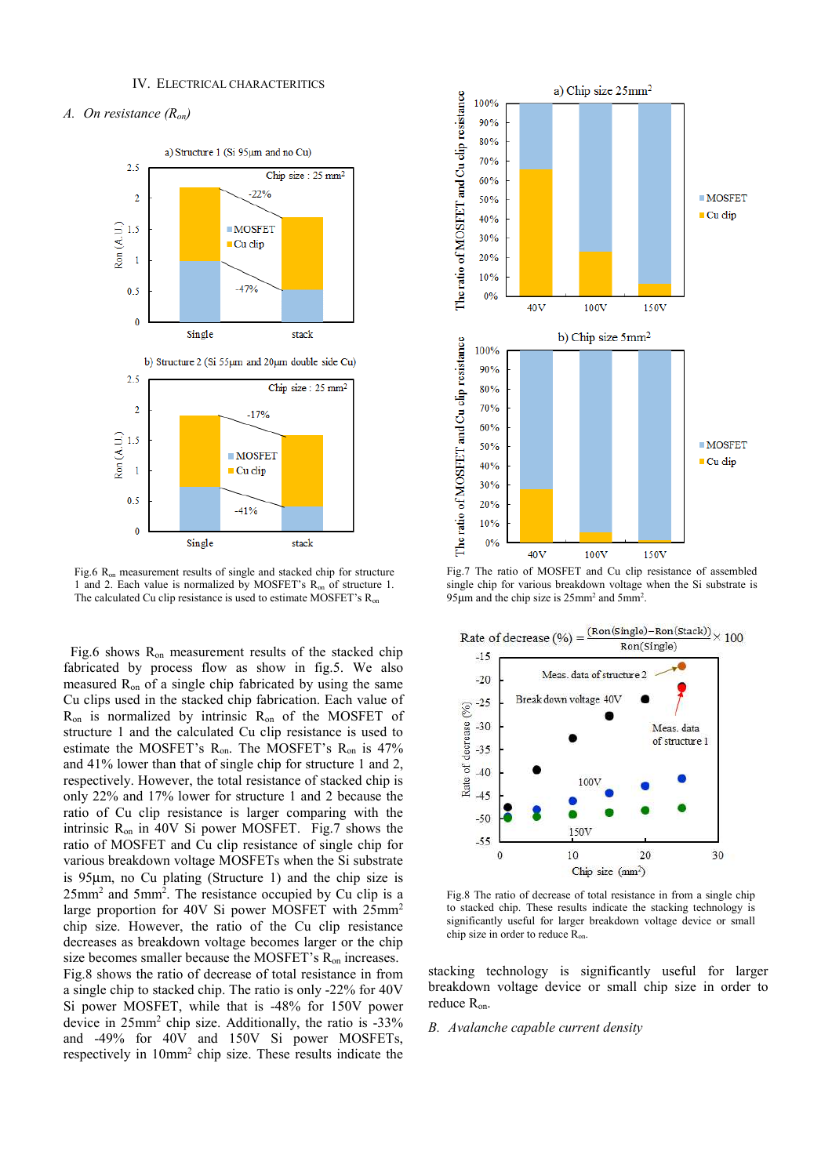# *A. On resistance (Ron)*



Fig.6 R<sub>on</sub> measurement results of single and stacked chip for structure 1 and 2. Each value is normalized by MOSFET's Ron of structure 1. The calculated Cu clip resistance is used to estimate MOSFET's R<sub>on</sub>

Fig.6 shows R<sub>on</sub> measurement results of the stacked chip fabricated by process flow as show in fig.5. We also measured  $R_{on}$  of a single chip fabricated by using the same Cu clips used in the stacked chip fabrication. Each value of  $R_{on}$  is normalized by intrinsic  $R_{on}$  of the MOSFET of structure 1 and the calculated Cu clip resistance is used to estimate the MOSFET's Ron. The MOSFET's Ron is 47% and 41% lower than that of single chip for structure 1 and 2, respectively. However, the total resistance of stacked chip is only 22% and 17% lower for structure 1 and 2 because the ratio of Cu clip resistance is larger comparing with the intrinsic Ron in 40V Si power MOSFET. Fig.7 shows the ratio of MOSFET and Cu clip resistance of single chip for various breakdown voltage MOSFETs when the Si substrate is 95µm, no Cu plating (Structure 1) and the chip size is 25mm<sup>2</sup> and 5mm<sup>2</sup> . The resistance occupied by Cu clip is a large proportion for 40V Si power MOSFET with 25mm<sup>2</sup> chip size. However, the ratio of the Cu clip resistance decreases as breakdown voltage becomes larger or the chip size becomes smaller because the MOSFET's R<sub>on</sub> increases. Fig.8 shows the ratio of decrease of total resistance in from a single chip to stacked chip. The ratio is only -22% for 40V Si power MOSFET, while that is -48% for 150V power device in 25mm<sup>2</sup> chip size. Additionally, the ratio is -33% and -49% for 40V and 150V Si power MOSFETs, respectively in 10mm<sup>2</sup> chip size. These results indicate the



Fig.7 The ratio of MOSFET and Cu clip resistance of assembled single chip for various breakdown voltage when the Si substrate is 95 $\mu$ m and the chip size is 25mm<sup>2</sup> and 5mm<sup>2</sup>.



Fig.8 The ratio of decrease of total resistance in from a single chip to stacked chip. These results indicate the stacking technology is significantly useful for larger breakdown voltage device or small chip size in order to reduce Ron.

stacking technology is significantly useful for larger breakdown voltage device or small chip size in order to reduce Ron.

### *B. Avalanche capable current density*